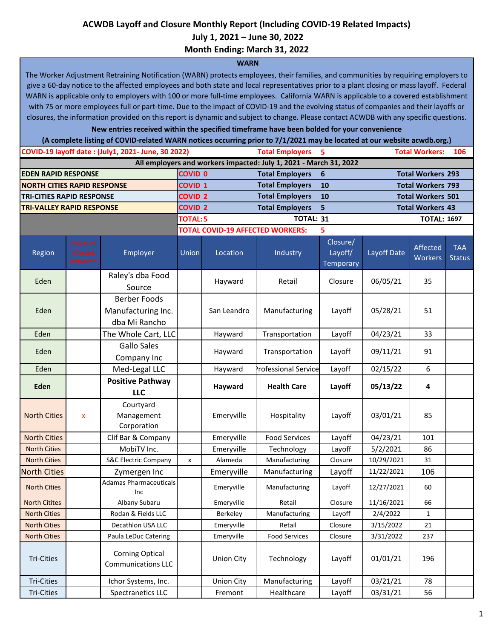#### **ACWDB Layoff and Closure Monthly Report (Including COVID-19 Related Impacts)**

 **July 1, 2021 – June 30, 2022**

**Month Ending: March 31, 2022**

#### **WARN**

The Worker Adjustment Retraining Notification (WARN) protects employees, their families, and communities by requiring employers to give a 60-day notice to the affected employees and both state and local representatives prior to a plant closing or mass layoff. Federal WARN is applicable only to employers with 100 or more full-time employees. California WARN is applicable to a covered establishment with 75 or more employees full or part-time. Due to the impact of COVID-19 and the evolving status of companies and their layoffs or closures, the information provided on this report is dynamic and subject to change. Please contact ACWDB with any specific questions.

**New entries received within the specified timeframe have been bolded for your convenience**

**(A complete listing of COVID-related WARN notices occurring prior to 7/1/2021 may be located at our website acwdb.org.)**

|                                    |                                   | COVID-19 layoff date: (July1, 2021- June, 30 2022)         |                                                |                                               | <b>Total Employers</b>                                            | 5                                |                         | <b>Total Workers:</b>    | 106                         |
|------------------------------------|-----------------------------------|------------------------------------------------------------|------------------------------------------------|-----------------------------------------------|-------------------------------------------------------------------|----------------------------------|-------------------------|--------------------------|-----------------------------|
|                                    |                                   |                                                            |                                                |                                               | All employers and workers impacted: July 1, 2021 - March 31, 2022 |                                  |                         |                          |                             |
| <b>EDEN RAPID RESPONSE</b>         |                                   |                                                            | <b>COVID 0</b>                                 |                                               | <b>Total Employers</b>                                            | 6                                |                         | <b>Total Workers 293</b> |                             |
| <b>NORTH CITIES RAPID RESPONSE</b> |                                   |                                                            | <b>COVID 1</b>                                 |                                               | <b>Total Employers</b>                                            | 10                               |                         | <b>Total Workers 793</b> |                             |
| <b>TRI-CITIES RAPID RESPONSE</b>   |                                   |                                                            | <b>Total Employers</b><br><b>COVID 2</b><br>10 |                                               |                                                                   | <b>Total Workers 501</b>         |                         |                          |                             |
| <b>TRI-VALLEY RAPID RESPONSE</b>   |                                   |                                                            |                                                | <b>COVID 2</b><br><b>Total Employers</b><br>5 |                                                                   |                                  | <b>Total Workers 43</b> |                          |                             |
|                                    |                                   |                                                            | <b>TOTAL: 5</b>                                |                                               | <b>TOTAL: 31</b>                                                  |                                  | <b>TOTAL: 1697</b>      |                          |                             |
|                                    |                                   |                                                            |                                                |                                               | <b>TOTAL COVID-19 AFFECTED WORKERS:</b>                           | 5                                |                         |                          |                             |
| Region                             | COVID-19<br>Affected<br>Employers | Employer                                                   | Union                                          | Location                                      | Industry                                                          | Closure/<br>Layoff/<br>Temporary | Layoff Date             | Affected<br>Workers      | <b>TAA</b><br><b>Status</b> |
| Eden                               |                                   | Raley's dba Food<br>Source                                 |                                                | Hayward                                       | Retail                                                            | Closure                          | 06/05/21                | 35                       |                             |
| Eden                               |                                   | <b>Berber Foods</b><br>Manufacturing Inc.<br>dba Mi Rancho |                                                | San Leandro                                   | Manufacturing                                                     | Layoff                           | 05/28/21                | 51                       |                             |
| Eden                               |                                   | The Whole Cart, LLC                                        |                                                | Hayward                                       | Transportation                                                    | Layoff                           | 04/23/21                | 33                       |                             |
| Eden                               |                                   | <b>Gallo Sales</b><br>Company Inc                          |                                                | Hayward                                       | Transportation                                                    | Layoff                           | 09/11/21                | 91                       |                             |
| Eden                               |                                   | Med-Legal LLC                                              |                                                | Hayward                                       | Professional Service                                              | Layoff                           | 02/15/22                | 6                        |                             |
| Eden                               |                                   | <b>Positive Pathway</b><br><b>LLC</b>                      |                                                | Hayward                                       | <b>Health Care</b>                                                | Layoff                           | 05/13/22                | 4                        |                             |
| <b>North Cities</b>                | $\mathsf{x}$                      | Courtyard<br>Management<br>Corporation                     |                                                | Emeryville                                    | Hospitality                                                       | Layoff                           | 03/01/21                | 85                       |                             |
| <b>North Cities</b>                |                                   | Clif Bar & Company                                         |                                                | Emeryville                                    | <b>Food Services</b>                                              | Layoff                           | 04/23/21                | 101                      |                             |
| <b>North Cities</b>                |                                   | MobiTV Inc.                                                |                                                | Emeryville                                    | Technology                                                        | Layoff                           | 5/2/2021                | 86                       |                             |
| <b>North Cities</b>                |                                   | <b>S&amp;C Electric Company</b>                            | X                                              | Alameda                                       | Manufacturing                                                     | Closure                          | 10/29/2021              | 31                       |                             |
| <b>North Cities</b>                |                                   | Zymergen Inc                                               |                                                | Emeryville                                    | Manufacturing                                                     | Layoff                           | 11/22/2021              | 106                      |                             |
| <b>North Cities</b>                |                                   | <b>Adamas Pharmaceuticals</b><br>Inc                       |                                                | Emeryville                                    | Manufacturing                                                     | Layoff                           | 12/27/2021              | 60                       |                             |
| <b>North Citites</b>               |                                   | Albany Subaru                                              |                                                | Emeryville                                    | Retail                                                            | Closure                          | 11/16/2021              | 66                       |                             |
| <b>North Cities</b>                |                                   | Rodan & Fields LLC                                         |                                                | Berkeley                                      | Manufacturing                                                     | Layoff                           | 2/4/2022                | $\mathbf{1}$             |                             |
| <b>North Cities</b>                |                                   | Decathlon USA LLC                                          |                                                | Emeryville                                    | Retail                                                            | Closure                          | 3/15/2022               | 21                       |                             |
| <b>North Cities</b>                |                                   | Paula LeDuc Catering                                       |                                                | Emeryville                                    | <b>Food Services</b>                                              | Closure                          | 3/31/2022               | 237                      |                             |
| Tri-Cities                         |                                   | <b>Corning Optical</b><br><b>Communications LLC</b>        |                                                | <b>Union City</b>                             | Technology                                                        | Layoff                           | 01/01/21                | 196                      |                             |
| <b>Tri-Cities</b>                  |                                   | Ichor Systems, Inc.                                        |                                                | <b>Union City</b>                             | Manufacturing                                                     | Layoff                           | 03/21/21                | 78                       |                             |
| Tri-Cities                         |                                   | Spectranetics LLC                                          |                                                | Fremont                                       | Healthcare                                                        | Layoff                           | 03/31/21                | 56                       |                             |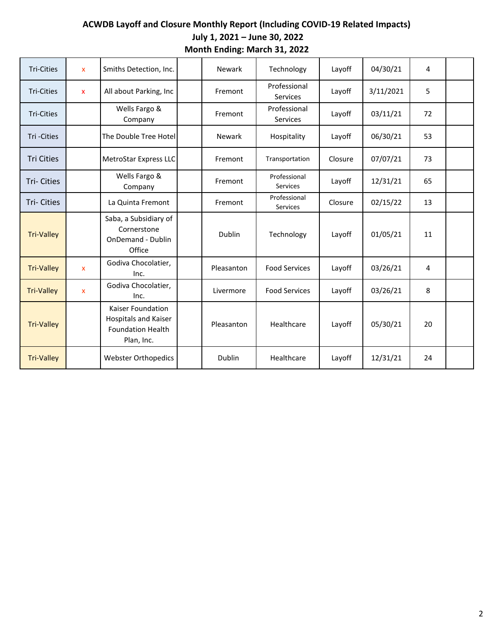| <b>Tri-Cities</b> | $\mathsf{x}$              | Smiths Detection, Inc.                                                              | Newark        | Technology                      | Layoff  | 04/30/21  | 4  |  |
|-------------------|---------------------------|-------------------------------------------------------------------------------------|---------------|---------------------------------|---------|-----------|----|--|
| <b>Tri-Cities</b> | $\mathsf{x}$              | All about Parking, Inc                                                              | Fremont       | Professional<br>Services        | Layoff  | 3/11/2021 | 5  |  |
| <b>Tri-Cities</b> |                           | Wells Fargo &<br>Company                                                            | Fremont       | Professional<br><b>Services</b> | Layoff  | 03/11/21  | 72 |  |
| Tri-Cities        |                           | The Double Tree Hotel                                                               | <b>Newark</b> | Hospitality                     | Layoff  | 06/30/21  | 53 |  |
| <b>Tri Cities</b> |                           | MetroStar Express LLC                                                               | Fremont       | Transportation                  | Closure | 07/07/21  | 73 |  |
| <b>Tri-Cities</b> |                           | Wells Fargo &<br>Company                                                            | Fremont       | Professional<br>Services        | Layoff  | 12/31/21  | 65 |  |
| <b>Tri-Cities</b> |                           | La Quinta Fremont                                                                   | Fremont       | Professional<br>Services        | Closure | 02/15/22  | 13 |  |
| <b>Tri-Valley</b> |                           | Saba, a Subsidiary of<br>Cornerstone<br>OnDemand - Dublin<br>Office                 | Dublin        | Technology                      | Layoff  | 01/05/21  | 11 |  |
| <b>Tri-Valley</b> | $\boldsymbol{\mathsf{x}}$ | Godiva Chocolatier,<br>Inc.                                                         | Pleasanton    | <b>Food Services</b>            | Layoff  | 03/26/21  | 4  |  |
| <b>Tri-Valley</b> | $\mathbf{x}$              | Godiva Chocolatier,<br>Inc.                                                         | Livermore     | <b>Food Services</b>            | Layoff  | 03/26/21  | 8  |  |
| <b>Tri-Valley</b> |                           | Kaiser Foundation<br>Hospitals and Kaiser<br><b>Foundation Health</b><br>Plan, Inc. | Pleasanton    | Healthcare                      | Layoff  | 05/30/21  | 20 |  |
| <b>Tri-Valley</b> |                           | <b>Webster Orthopedics</b>                                                          | Dublin        | Healthcare                      | Layoff  | 12/31/21  | 24 |  |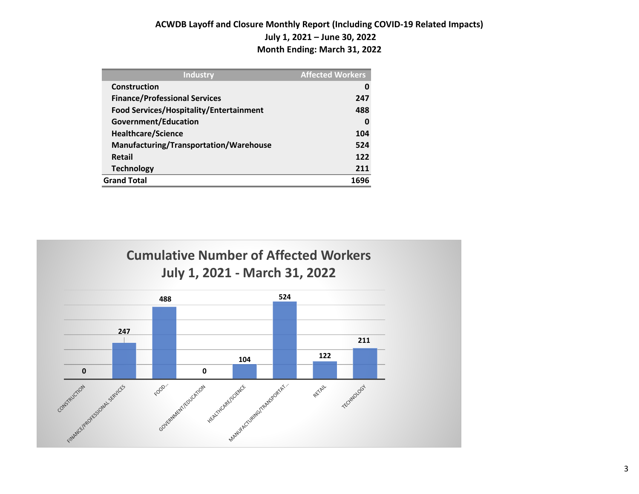| <b>Industry</b>                         | <b>Affected Workers</b> |
|-----------------------------------------|-------------------------|
| Construction                            | 0                       |
| <b>Finance/Professional Services</b>    | 247                     |
| Food Services/Hospitality/Entertainment | 488                     |
| Government/Education                    | 0                       |
| Healthcare/Science                      | 104                     |
| Manufacturing/Transportation/Warehouse  | 524                     |
| <b>Retail</b>                           | 122                     |
| <b>Technology</b>                       | 211                     |
| <b>Grand Total</b>                      | 1696                    |

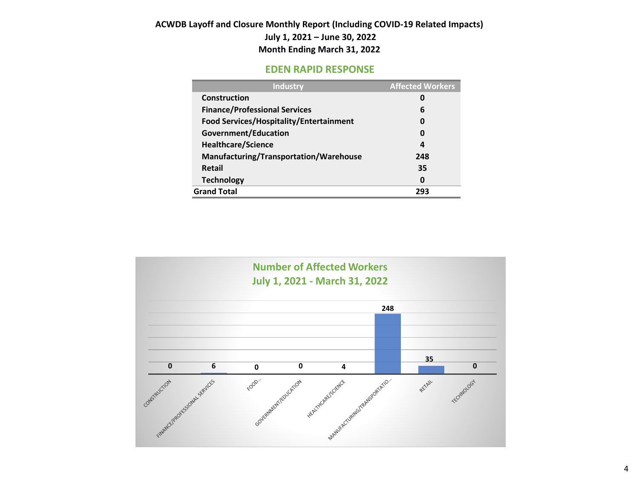#### **EDEN RAPID RESPONSE**

| <b>Industry</b>                         | <b>Affected Workers</b> |
|-----------------------------------------|-------------------------|
| Construction                            | 0                       |
| <b>Finance/Professional Services</b>    | 6                       |
| Food Services/Hospitality/Entertainment | 0                       |
| Government/Education                    | 0                       |
| <b>Healthcare/Science</b>               | 4                       |
| Manufacturing/Transportation/Warehouse  | 248                     |
| <b>Retail</b>                           | 35                      |
| <b>Technology</b>                       | 0                       |
| <b>Grand Total</b>                      | 293                     |

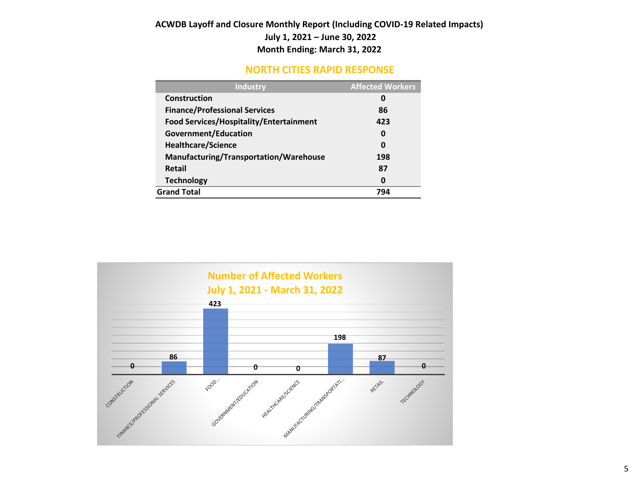### **NORTH CITIES RAPID RESPONSE**

| <b>Industry</b>                         | <b>Affected Workers</b> |
|-----------------------------------------|-------------------------|
| Construction                            | 0                       |
| <b>Finance/Professional Services</b>    | 86                      |
| Food Services/Hospitality/Entertainment | 423                     |
| <b>Government/Education</b>             | 0                       |
| <b>Healthcare/Science</b>               | 0                       |
| Manufacturing/Transportation/Warehouse  | 198                     |
| <b>Retail</b>                           | 87                      |
| <b>Technology</b>                       | 0                       |
| <b>Grand Total</b>                      | 794                     |

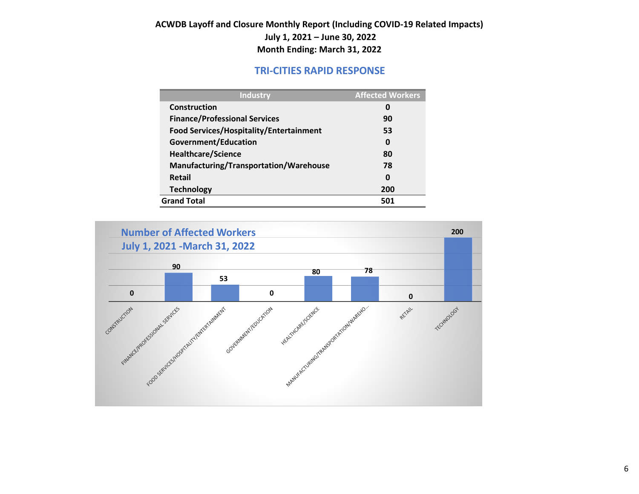## **TRI-CITIES RAPID RESPONSE**

| <b>Industry</b>                                | <b>Affected Workers</b> |
|------------------------------------------------|-------------------------|
| Construction                                   | 0                       |
| <b>Finance/Professional Services</b>           | 90                      |
| <b>Food Services/Hospitality/Entertainment</b> | 53                      |
| Government/Education                           | 0                       |
| <b>Healthcare/Science</b>                      | 80                      |
| Manufacturing/Transportation/Warehouse         | 78                      |
| Retail                                         | 0                       |
| <b>Technology</b>                              | 200                     |
| <b>Grand Total</b>                             | 501                     |